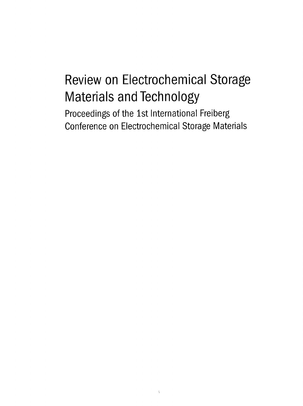## Review on Electrochemical Storage Materials and Technology

Proceedings of the 1st International Freiberg Conference on Electrochemical Storage Materials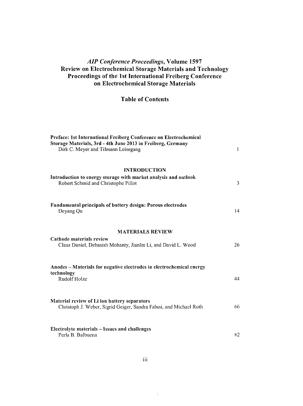## AIP Conference Proceedings, Volume 1597 Review on Electrochemical Storage Materials and Technology Proceedings of the 1st International Freiberg Conference on Electrochemical Storage Materials

## Table of Contents

| Preface: 1st International Freiberg Conference on Electrochemical<br>Storage Materials, 3rd - 4th June 2013 in Freiberg, Germany<br>Dirk C. Meyer and Tilmann Leisegang | 1  |
|-------------------------------------------------------------------------------------------------------------------------------------------------------------------------|----|
| <b>INTRODUCTION</b>                                                                                                                                                     |    |
| Introduction to energy storage with market analysis and outlook<br>Robert Schmid and Christophe Pillot                                                                  | 3  |
| <b>Fundamental principals of battery design: Porous electrodes</b><br>Deyang Qu                                                                                         | 14 |
| <b>MATERIALS REVIEW</b>                                                                                                                                                 |    |
| Cathode materials review<br>Claus Daniel, Debasish Mohanty, Jianlin Li, and David L. Wood                                                                               | 26 |
| Anodes - Materials for negative electrodes in electrochemical energy<br>technology                                                                                      |    |
| Rudolf Holze                                                                                                                                                            | 44 |
| Material review of Li ion battery separators<br>Christoph J. Weber, Sigrid Geiger, Sandra Falusi, and Michael Roth                                                      | 66 |
| Electrolyte materials - Issues and challenges<br>Perla B. Balbuena                                                                                                      | 82 |

 $\bar{\chi}$